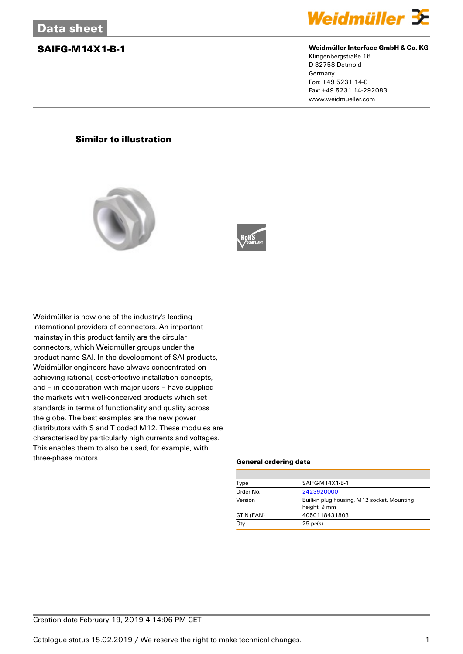

### **SAIFG-M14X1-B-1 Weidmüller Interface GmbH & Co. KG**

Klingenbergstraße 16 D-32758 Detmold Germany Fon: +49 5231 14-0 Fax: +49 5231 14-292083 www.weidmueller.com

## **Similar to illustration**





Weidmüller is now one of the industry's leading international providers of connectors. An important mainstay in this product family are the circular connectors, which Weidmüller groups under the product name SAI. In the development of SAI products, Weidmüller engineers have always concentrated on achieving rational, cost-effective installation concepts, and – in cooperation with major users – have supplied the markets with well-conceived products which set standards in terms of functionality and quality across the globe. The best examples are the new power distributors with S and T coded M12. These modules are characterised by particularly high currents and voltages. This enables them to also be used, for example, with three-phase motors.

### **General ordering data**

| Type       | SAIFG-M14X1-B-1                                             |  |  |
|------------|-------------------------------------------------------------|--|--|
| Order No.  | 2423920000                                                  |  |  |
| Version    | Built-in plug housing, M12 socket, Mounting<br>height: 9 mm |  |  |
| GTIN (EAN) | 4050118431803                                               |  |  |
| Qty.       | $25$ pc(s).                                                 |  |  |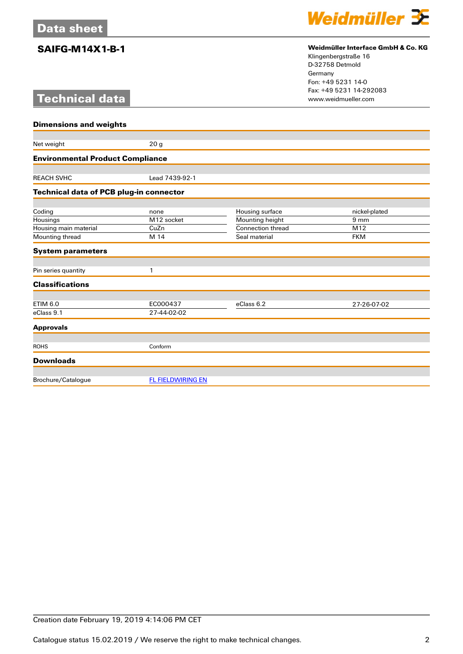# **Technical data**



## **SAIFG-M14X1-B-1 Weidmüller Interface GmbH & Co. KG**

Klingenbergstraße 16 D-32758 Detmold Germany Fon: +49 5231 14-0 Fax: +49 5231 14-292083

| <b>Dimensions and weights</b>                  |                          |                          |                 |  |  |
|------------------------------------------------|--------------------------|--------------------------|-----------------|--|--|
|                                                |                          |                          |                 |  |  |
| Net weight                                     | 20 <sub>g</sub>          |                          |                 |  |  |
| <b>Environmental Product Compliance</b>        |                          |                          |                 |  |  |
|                                                |                          |                          |                 |  |  |
| <b>REACH SVHC</b>                              | Lead 7439-92-1           |                          |                 |  |  |
| <b>Technical data of PCB plug-in connector</b> |                          |                          |                 |  |  |
| Coding                                         | none                     | Housing surface          | nickel-plated   |  |  |
| Housings                                       | M12 socket               | Mounting height          | 9 <sub>mm</sub> |  |  |
| Housing main material                          | CuZn                     | <b>Connection thread</b> | M12             |  |  |
| Mounting thread                                | M 14                     | Seal material            | <b>FKM</b>      |  |  |
| <b>System parameters</b>                       |                          |                          |                 |  |  |
|                                                |                          |                          |                 |  |  |
| Pin series quantity                            | 1                        |                          |                 |  |  |
| <b>Classifications</b>                         |                          |                          |                 |  |  |
| <b>ETIM 6.0</b>                                | EC000437                 | eClass 6.2               | 27-26-07-02     |  |  |
| eClass 9.1                                     | 27-44-02-02              |                          |                 |  |  |
| <b>Approvals</b>                               |                          |                          |                 |  |  |
|                                                |                          |                          |                 |  |  |
| <b>ROHS</b>                                    | Conform                  |                          |                 |  |  |
| <b>Downloads</b>                               |                          |                          |                 |  |  |
| Brochure/Catalogue                             | <b>FL FIELDWIRING EN</b> |                          |                 |  |  |
|                                                |                          |                          |                 |  |  |